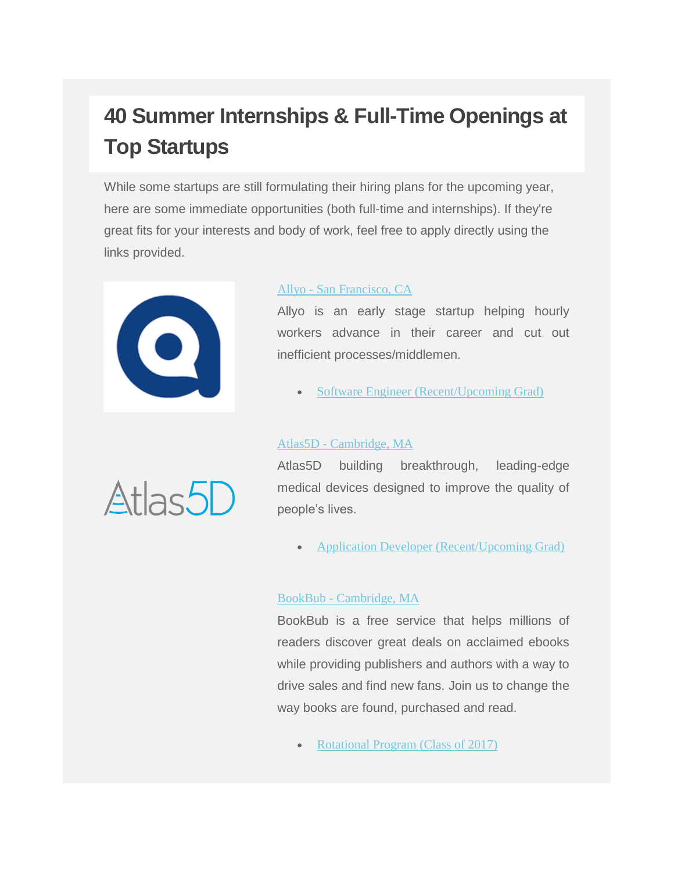## **40 Summer Internships & Full-Time Openings at Top Startups**

While some startups are still formulating their hiring plans for the upcoming year, here are some immediate opportunities (both full-time and internships). If they're great fits for your interests and body of work, feel free to apply directly using the links provided.



#### Allyo - [San Francisco, CA](https://allyo.com/)

Allyo is an early stage startup helping hourly workers advance in their career and cut out inefficient processes/middlemen.

• [Software Engineer \(Recent/Upcoming Grad\)](https://goo.gl/FVCXMt)

#### Atlas5D - [Cambridge, MA](http://atlas5d.com/)

Atlas5D building breakthrough, leading-edge medical devices designed to improve the quality of people's lives.

• [Application Developer \(Recent/Upcoming Grad\)](https://goo.gl/Mb22cr)

#### BookBub - [Cambridge, MA](http://thinkb1g.com/startups/BookBub)

BookBub is a free service that helps millions of readers discover great deals on acclaimed ebooks while providing publishers and authors with a way to drive sales and find new fans. Join us to change the way books are found, purchased and read.

[Rotational Program \(Class of 2017\)](http://grnh.se/l8nms61)

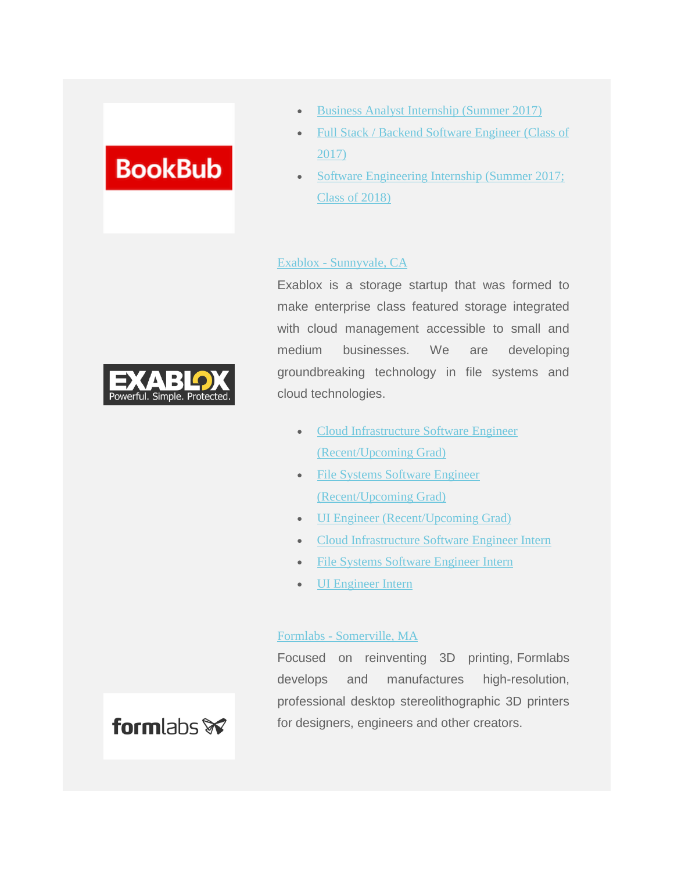## **BookBub**

- [Business Analyst Internship \(Summer 2017\)](http://grnh.se/jy2otw1)
- [Full Stack / Backend Software Engineer](http://grnh.se/l8y7vw) (Class of [2017\)](http://grnh.se/l8y7vw)
- [Software Engineering Internship \(Summer 2017;](http://grnh.se/mb4h2s)  [Class of](http://grnh.se/mb4h2s) 2018)

#### Exablox - [Sunnyvale, CA](http://thinkb1g.com/startups/exablox)

Exablox is a storage startup that was formed to make enterprise class featured storage integrated with cloud management accessible to small and medium businesses. We are developing groundbreaking technology in file systems and cloud technologies.

- [Cloud Infrastructure Software Engineer](https://goo.gl/otcg3J)  [\(Recent/Upcoming Grad\)](https://goo.gl/otcg3J)
- File Systems Software Engineer [\(Recent/Upcoming Grad\)](https://goo.gl/m4rKEv)
- [UI Engineer \(Recent/Upcoming Grad\)](https://goo.gl/TQ3kv5)
- [Cloud Infrastructure Software Engineer Intern](https://goo.gl/5Qj63Q)
- [File Systems Software Engineer Intern](https://goo.gl/YxoYOq)
- [UI Engineer Intern](https://goo.gl/2jHpiW)

#### Formlabs - [Somerville, MA](http://thinkb1g.com/startups/formlabs)

Focused on reinventing 3D printing, Formlabs develops and manufactures high-resolution, professional desktop stereolithographic 3D printers for designers, engineers and other creators.



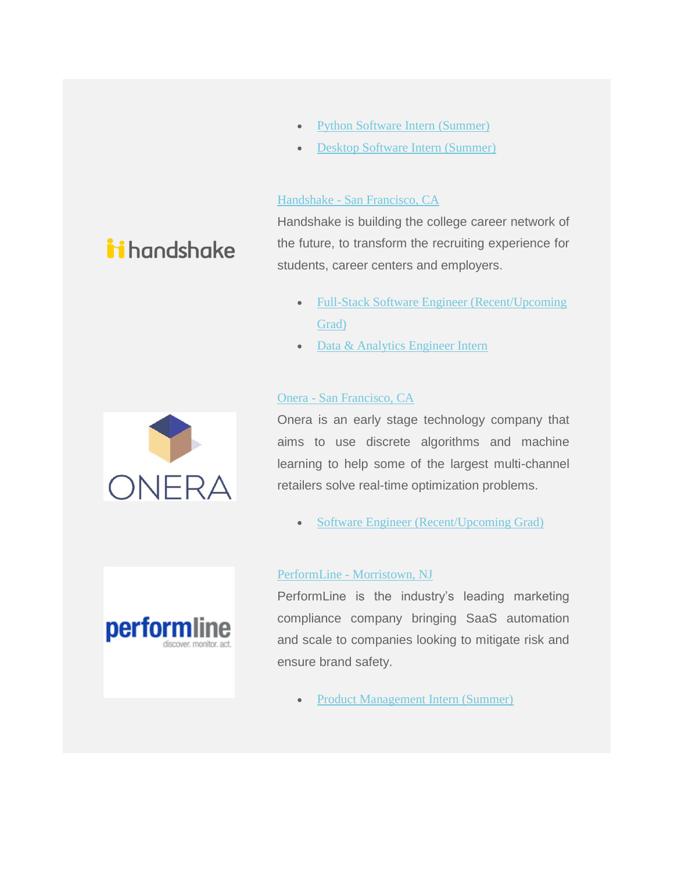- [Python Software Intern](https://goo.gl/Yfm8yW) [\(Summer\)](https://goo.gl/Yfm8yW)
- [Desktop Software Intern](https://goo.gl/1F9vsy) [\(Summer\)](https://goo.gl/1F9vsy)

#### Handshake - [San Francisco, CA](http://thinkb1g.com/startups/handshake)

Handshake is building the college career network of the future, to transform the recruiting experience for students, career centers and employers.

- Full-Stack Software Engineer (Recent/Upcoming [Grad\)](https://goo.gl/jDHShO)
- [Data & Analytics Engineer Intern](https://goo.gl/iG5xYv)

#### Onera - [San Francisco, CA](http://thinkb1g.com/startups/onera)

Onera is an early stage technology company that aims to use discrete algorithms and machine learning to help some of the largest multi-channel retailers solve real-time optimization problems.

• [Software Engineer \(Recent/Upcoming](http://goo.gl/71OiML) Grad)

#### PerformLine - [Morristown, NJ](http://thinkb1g.com/startups/performline)



PerformLine is the industry's leading marketing compliance company bringing SaaS automation and scale to companies looking to mitigate risk and ensure brand safety.

[Product Management Intern \(Summer\)](http://grnh.se/a07m281)



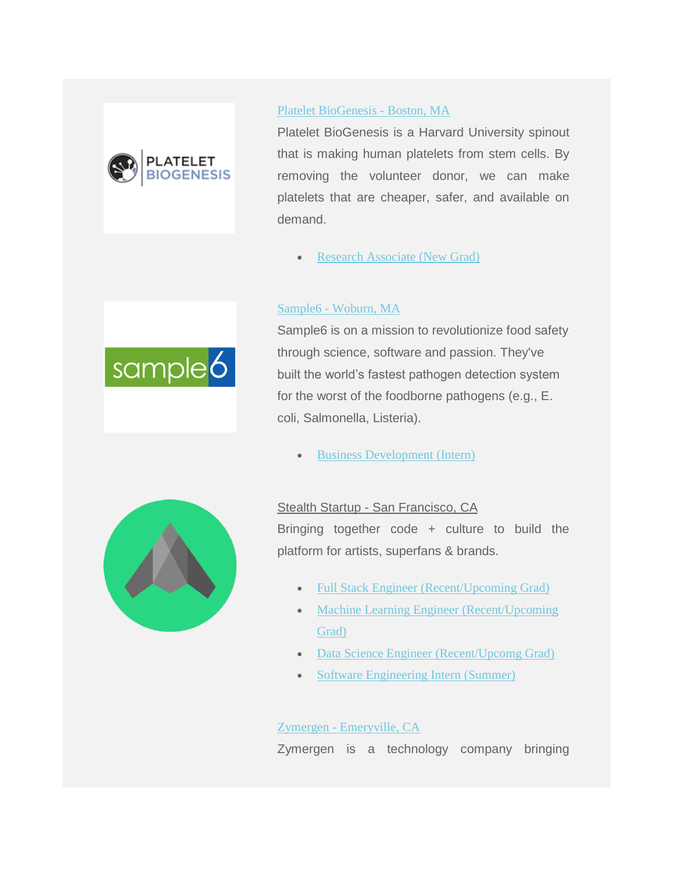

#### [Platelet BioGenesis -](http://plateletbiogenesis.com/) Boston, MA

Platelet BioGenesis is a Harvard University spinout that is making human platelets from stem cells. By removing the volunteer donor, we can make platelets that are cheaper, safer, and available on demand.

[Research Associate \(New Grad\)](https://goo.gl/MMkQQB)

#### Sample6 - [Woburn, MA](http://sample6.com/)



Sample6 is on a mission to revolutionize food safety through science, software and passion. They've built the world's fastest pathogen detection system for the worst of the foodborne pathogens (e.g., E. coli, Salmonella, Listeria).

[Business Development \(Intern\)](https://goo.gl/aqDS3M)



#### Stealth Startup - San Francisco, CA

Bringing together code + culture to build the platform for artists, superfans & brands.

- [Full Stack Engineer \(Recent/Upcoming Grad\)](https://goo.gl/Lsff0T)
- Machine Learning Engineer (Recent/Upcoming) [Grad\)](https://goo.gl/G6h9V8)
- [Data Science Engineer \(Recent/Upcomg Grad\)](https://goo.gl/4R7R1B)
- [Software Engineering Intern \(Summer\)](https://goo.gl/DKVxxi)

#### Zymergen - [Emeryville, CA](http://zymergen.com/)

Zymergen is a technology company bringing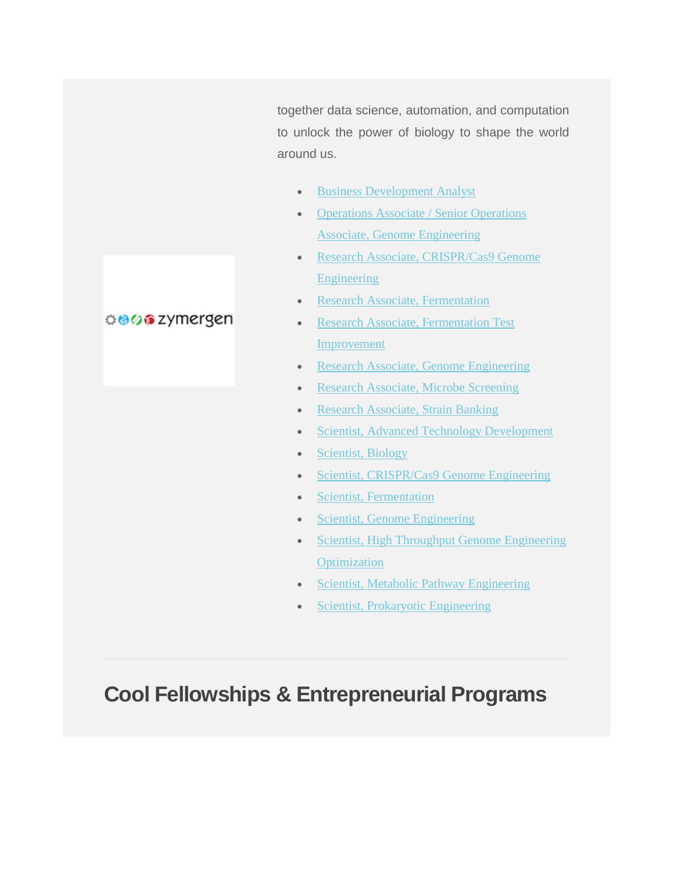together data science, automation, and computation to unlock the power of biology to shape the world around us.

- [Business Development Analyst](https://goo.gl/pBFMPa)
- [Operations Associate / Senior Operations](https://goo.gl/u5Fybq)  [Associate, Genome Engineering](https://goo.gl/u5Fybq)
- [Research Associate, CRISPR/Cas9 Genome](https://goo.gl/rhh72V)  [Engineering](https://goo.gl/rhh72V)
- [Research Associate, Fermentation](https://goo.gl/Gby7oy)
- Research Associate, Fermentation Test [Improvement](https://goo.gl/nzw1tz)
- [Research Associate, Genome Engineering](https://goo.gl/ES4Q4R)
- [Research Associate, Microbe Screening](https://goo.gl/EqNLmy)
- [Research Associate, Strain Banking](https://goo.gl/RzZTa7)
- [Scientist, Advanced Technology Development](https://goo.gl/Y6bXyL)
- [Scientist, Biology](https://goo.gl/Qv5jN2)
- [Scientist, CRISPR/Cas9 Genome Engineering](https://goo.gl/Nl8voz)
- [Scientist, Fermentation](https://goo.gl/xEet2Z)
- [Scientist, Genome Engineering](https://goo.gl/PsJ6xo)
- Scientist, High Throughput Genome Engineering **[Optimization](https://goo.gl/E5qkhB)**
- [Scientist, Metabolic Pathway](https://goo.gl/zwDTC5) Engineering
- [Scientist, Prokaryotic Engineering](https://goo.gl/Dx3Z2p)

## **Cool Fellowships & Entrepreneurial Programs**

#### <del>୦.</del>ଡେଡ zymergen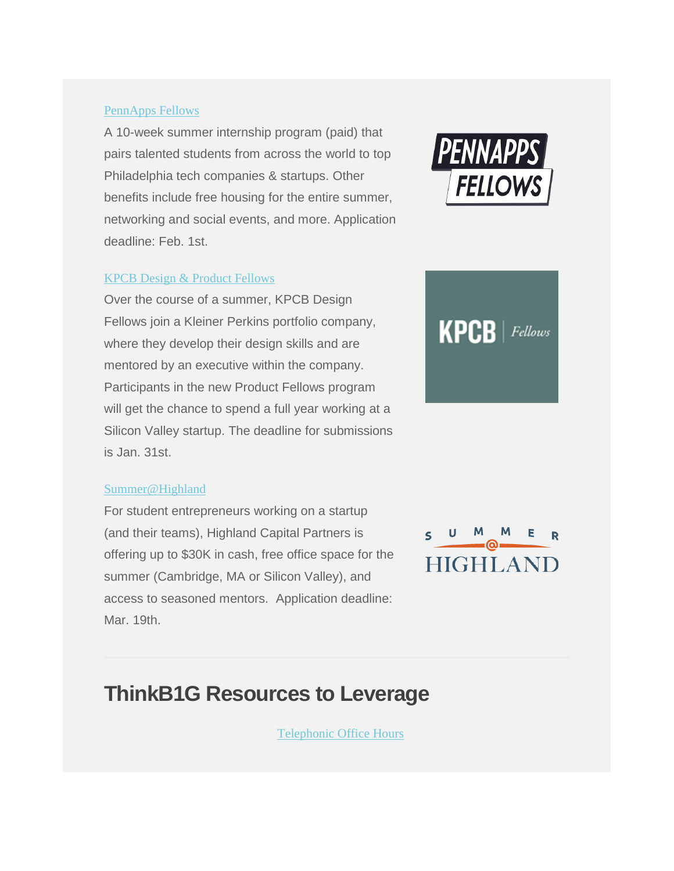#### [PennApps Fellows](http://www.pennappsfellows.com/)

A 10-week summer internship program (paid) that pairs talented students from across the world to top Philadelphia tech companies & startups. Other benefits include free housing for the entire summer, networking and social events, and more. Application deadline: Feb. 1st.

#### [KPCB Design & Product Fellows](http://kpcbfellows.com/)

Over the course of a summer, KPCB Design Fellows join a Kleiner Perkins portfolio company, where they develop their design skills and are mentored by an executive within the company. Participants in the new Product Fellows program will get the chance to spend a full year working at a Silicon Valley startup. The deadline for submissions is Jan. 31st.

#### [Summer@Highland](http://summer.hcp.com/)

For student entrepreneurs working on a startup (and their teams), Highland Capital Partners is offering up to \$30K in cash, free office space for the summer (Cambridge, MA or Silicon Valley), and access to seasoned mentors. Application deadline: Mar. 19th.





## $\leq$ **HIGHLAND**

## **ThinkB1G Resources to Leverage**

[Telephonic Office Hours](https://form.jotform.com/70235850263957)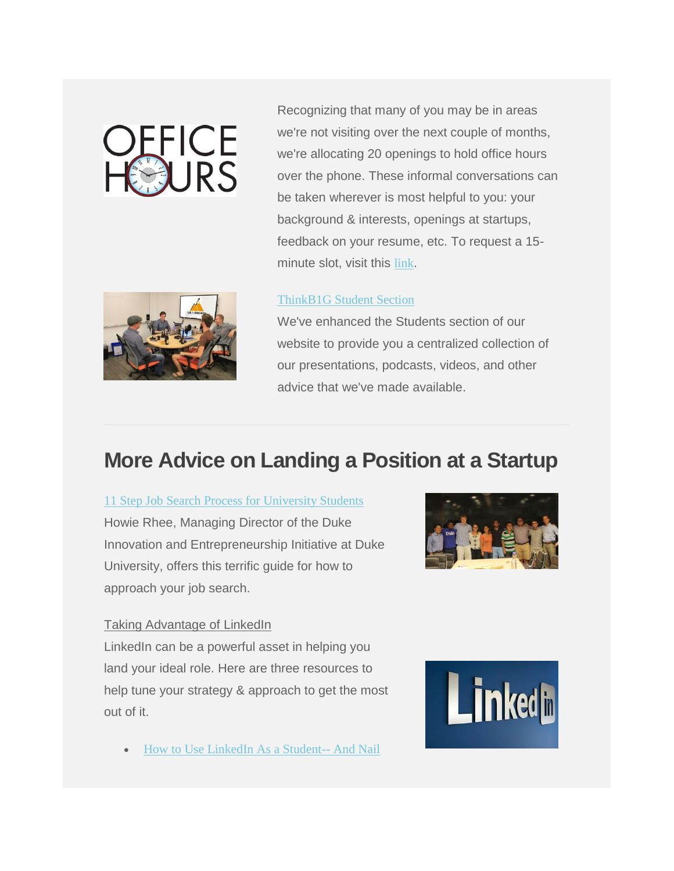# **OFFICE**<br>HOURS

Recognizing that many of you may be in areas we're not visiting over the next couple of months, we're allocating 20 openings to hold office hours over the phone. These informal conversations can be taken wherever is most helpful to you: your background & interests, openings at startups, feedback on your resume, etc. To request a 15 minute slot, visit this [link](https://form.jotform.com/70235850263957).



#### [ThinkB1G Student Section](http://thinkb1g.com/students)

We've enhanced the Students section of our website to provide you a centralized collection of our presentations, podcasts, videos, and other advice that we've made available.

## **More Advice on Landing a Position at a Startup**

[11 Step Job Search Process for University Students](https://www.linkedin.com/pulse/eleven-step-job-search-process-university-students-howie-rhee?trk=hp-feed-article-title-like) Howie Rhee, Managing Director of the Duke Innovation and Entrepreneurship Initiative at Duke University, offers this terrific guide for how to approach your job search.



#### Taking Advantage of LinkedIn

LinkedIn can be a powerful asset in helping you land your ideal role. Here are three resources to help tune your strategy & approach to get the most out of it.

[How to Use LinkedIn As a Student--](https://www.linkedin.com/pulse/how-use-linkedin-student-nail-dream-job-jerome-knyszewski) And Nail